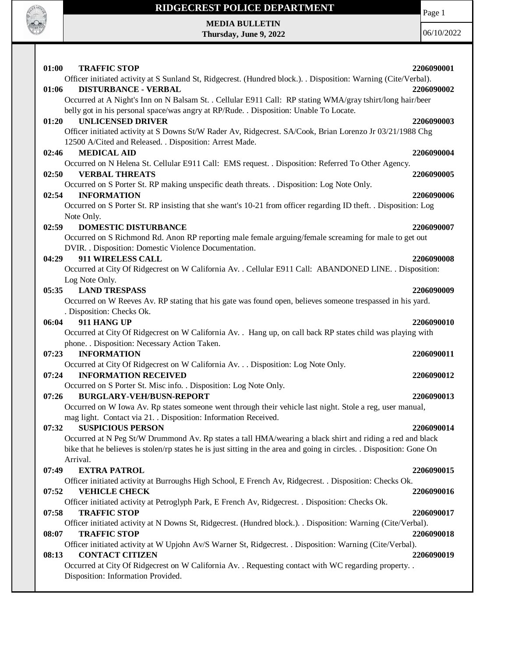

Page 1

**MEDIA BULLETIN Thursday, June 9, 2022**

| 01:00 | <b>TRAFFIC STOP</b>                                                                                                 | 2206090001 |
|-------|---------------------------------------------------------------------------------------------------------------------|------------|
|       | Officer initiated activity at S Sunland St, Ridgecrest. (Hundred block.). . Disposition: Warning (Cite/Verbal).     |            |
| 01:06 | <b>DISTURBANCE - VERBAL</b>                                                                                         | 2206090002 |
|       | Occurred at A Night's Inn on N Balsam St. . Cellular E911 Call: RP stating WMA/gray tshirt/long hair/beer           |            |
|       | belly got in his personal space/was angry at RP/Rude. . Disposition: Unable To Locate.                              |            |
| 01:20 | <b>UNLICENSED DRIVER</b>                                                                                            | 2206090003 |
|       | Officer initiated activity at S Downs St/W Rader Av, Ridgecrest. SA/Cook, Brian Lorenzo Jr 03/21/1988 Chg           |            |
|       | 12500 A/Cited and Released. . Disposition: Arrest Made.                                                             |            |
| 02:46 | <b>MEDICAL AID</b>                                                                                                  | 2206090004 |
|       | Occurred on N Helena St. Cellular E911 Call: EMS request. . Disposition: Referred To Other Agency.                  |            |
| 02:50 | <b>VERBAL THREATS</b>                                                                                               | 2206090005 |
|       | Occurred on S Porter St. RP making unspecific death threats. . Disposition: Log Note Only.                          |            |
| 02:54 | <b>INFORMATION</b>                                                                                                  | 2206090006 |
|       | Occurred on S Porter St. RP insisting that she want's 10-21 from officer regarding ID theft. . Disposition: Log     |            |
|       | Note Only.                                                                                                          |            |
| 02:59 | <b>DOMESTIC DISTURBANCE</b>                                                                                         | 2206090007 |
|       | Occurred on S Richmond Rd. Anon RP reporting male female arguing/female screaming for male to get out               |            |
|       | DVIR. . Disposition: Domestic Violence Documentation.                                                               |            |
| 04:29 | 911 WIRELESS CALL                                                                                                   | 2206090008 |
|       | Occurred at City Of Ridgecrest on W California Av. . Cellular E911 Call: ABANDONED LINE. . Disposition:             |            |
|       | Log Note Only.                                                                                                      |            |
| 05:35 | <b>LAND TRESPASS</b>                                                                                                | 2206090009 |
|       | Occurred on W Reeves Av. RP stating that his gate was found open, believes someone trespassed in his yard.          |            |
|       | . Disposition: Checks Ok.                                                                                           |            |
| 06:04 | 911 HANG UP                                                                                                         | 2206090010 |
|       | Occurred at City Of Ridgecrest on W California Av. . Hang up, on call back RP states child was playing with         |            |
|       | phone. . Disposition: Necessary Action Taken.                                                                       |            |
| 07:23 | <b>INFORMATION</b>                                                                                                  | 2206090011 |
|       | Occurred at City Of Ridgecrest on W California Av. Disposition: Log Note Only.                                      |            |
| 07:24 | <b>INFORMATION RECEIVED</b>                                                                                         | 2206090012 |
|       | Occurred on S Porter St. Misc info. . Disposition: Log Note Only.                                                   |            |
| 07:26 | <b>BURGLARY-VEH/BUSN-REPORT</b>                                                                                     | 2206090013 |
|       | Occurred on W Iowa Av. Rp states someone went through their vehicle last night. Stole a reg, user manual,           |            |
|       | mag light. Contact via 21. . Disposition: Information Received.                                                     |            |
| 07:32 | <b>SUSPICIOUS PERSON</b>                                                                                            | 2206090014 |
|       | Occurred at N Peg St/W Drummond Av. Rp states a tall HMA/wearing a black shirt and riding a red and black           |            |
|       | bike that he believes is stolen/rp states he is just sitting in the area and going in circles. Disposition: Gone On |            |
|       | Arrival.                                                                                                            |            |
| 07:49 | <b>EXTRA PATROL</b>                                                                                                 | 2206090015 |
|       | Officer initiated activity at Burroughs High School, E French Av, Ridgecrest. . Disposition: Checks Ok.             |            |
| 07:52 | <b>VEHICLE CHECK</b>                                                                                                | 2206090016 |
|       | Officer initiated activity at Petroglyph Park, E French Av, Ridgecrest. . Disposition: Checks Ok.                   |            |
| 07:58 | <b>TRAFFIC STOP</b>                                                                                                 | 2206090017 |
|       | Officer initiated activity at N Downs St, Ridgecrest. (Hundred block.). . Disposition: Warning (Cite/Verbal).       |            |
| 08:07 | <b>TRAFFIC STOP</b>                                                                                                 | 2206090018 |
|       | Officer initiated activity at W Upjohn Av/S Warner St, Ridgecrest. . Disposition: Warning (Cite/Verbal).            |            |
| 08:13 | <b>CONTACT CITIZEN</b>                                                                                              | 2206090019 |
|       | Occurred at City Of Ridgecrest on W California Av. . Requesting contact with WC regarding property. .               |            |
|       | Disposition: Information Provided.                                                                                  |            |
|       |                                                                                                                     |            |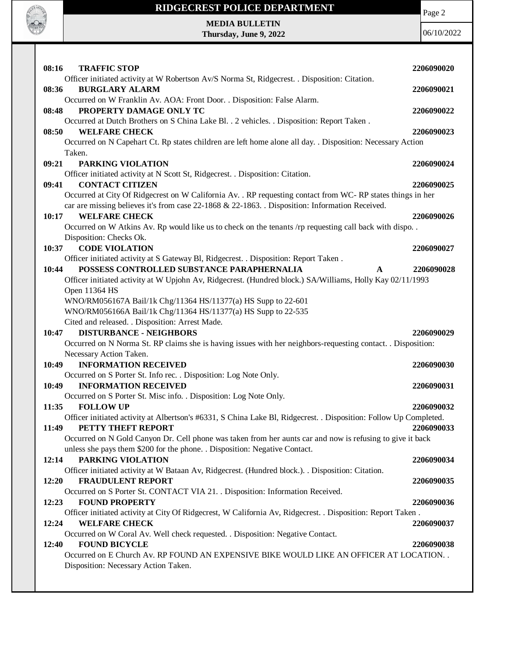

Page 2

**MEDIA BULLETIN Thursday, June 9, 2022**

| 08:16<br><b>TRAFFIC STOP</b>                                                                                                                  | 2206090020 |
|-----------------------------------------------------------------------------------------------------------------------------------------------|------------|
| Officer initiated activity at W Robertson Av/S Norma St, Ridgecrest. . Disposition: Citation.<br>08:36<br><b>BURGLARY ALARM</b>               | 2206090021 |
| Occurred on W Franklin Av. AOA: Front Door. . Disposition: False Alarm.                                                                       |            |
| PROPERTY DAMAGE ONLY TC<br>08:48                                                                                                              | 2206090022 |
| Occurred at Dutch Brothers on S China Lake Bl. . 2 vehicles. . Disposition: Report Taken.<br>08:50<br><b>WELFARE CHECK</b>                    | 2206090023 |
| Occurred on N Capehart Ct. Rp states children are left home alone all day. . Disposition: Necessary Action                                    |            |
| Taken.                                                                                                                                        |            |
| PARKING VIOLATION<br>09:21                                                                                                                    | 2206090024 |
| Officer initiated activity at N Scott St, Ridgecrest. . Disposition: Citation.                                                                |            |
| <b>CONTACT CITIZEN</b><br>09:41<br>Occurred at City Of Ridgecrest on W California Av. . RP requesting contact from WC-RP states things in her | 2206090025 |
| car are missing believes it's from case 22-1868 & 22-1863. Disposition: Information Received.                                                 |            |
| 10:17<br><b>WELFARE CHECK</b>                                                                                                                 | 2206090026 |
| Occurred on W Atkins Av. Rp would like us to check on the tenants /rp requesting call back with dispo. .                                      |            |
| Disposition: Checks Ok.                                                                                                                       |            |
| <b>CODE VIOLATION</b><br>10:37                                                                                                                | 2206090027 |
| Officer initiated activity at S Gateway Bl, Ridgecrest. . Disposition: Report Taken.                                                          |            |
| POSSESS CONTROLLED SUBSTANCE PARAPHERNALIA<br>10:44<br>A                                                                                      | 2206090028 |
| Officer initiated activity at W Upjohn Av, Ridgecrest. (Hundred block.) SA/Williams, Holly Kay 02/11/1993                                     |            |
| Open 11364 HS<br>WNO/RM056167A Bail/1k Chg/11364 HS/11377(a) HS Supp to 22-601                                                                |            |
| WNO/RM056166A Bail/1k Chg/11364 HS/11377(a) HS Supp to 22-535                                                                                 |            |
| Cited and released. . Disposition: Arrest Made.                                                                                               |            |
| <b>DISTURBANCE - NEIGHBORS</b><br>10:47                                                                                                       | 2206090029 |
| Occurred on N Norma St. RP claims she is having issues with her neighbors-requesting contact. . Disposition:                                  |            |
| Necessary Action Taken.                                                                                                                       |            |
| <b>INFORMATION RECEIVED</b><br>10:49                                                                                                          | 2206090030 |
| Occurred on S Porter St. Info rec. . Disposition: Log Note Only.                                                                              |            |
| 10:49<br><b>INFORMATION RECEIVED</b>                                                                                                          | 2206090031 |
| Occurred on S Porter St. Misc info. . Disposition: Log Note Only.<br><b>FOLLOW UP</b><br>11:35                                                | 2206090032 |
| Officer initiated activity at Albertson's #6331, S China Lake Bl, Ridgecrest. . Disposition: Follow Up Completed.                             |            |
| 11:49<br>PETTY THEFT REPORT                                                                                                                   | 2206090033 |
| Occurred on N Gold Canyon Dr. Cell phone was taken from her aunts car and now is refusing to give it back                                     |            |
| unless she pays them \$200 for the phone. . Disposition: Negative Contact.                                                                    |            |
| PARKING VIOLATION<br>12:14                                                                                                                    | 2206090034 |
| Officer initiated activity at W Bataan Av, Ridgecrest. (Hundred block.). . Disposition: Citation.                                             |            |
| 12:20<br><b>FRAUDULENT REPORT</b>                                                                                                             |            |
|                                                                                                                                               | 2206090035 |
| Occurred on S Porter St. CONTACT VIA 21. . Disposition: Information Received.                                                                 |            |
| <b>FOUND PROPERTY</b><br>12:23                                                                                                                | 2206090036 |
| Officer initiated activity at City Of Ridgecrest, W California Av, Ridgecrest. . Disposition: Report Taken.                                   |            |
| <b>WELFARE CHECK</b><br>12:24                                                                                                                 | 2206090037 |
| Occurred on W Coral Av. Well check requested. . Disposition: Negative Contact.<br>12:40<br><b>FOUND BICYCLE</b>                               | 2206090038 |
| Occurred on E Church Av. RP FOUND AN EXPENSIVE BIKE WOULD LIKE AN OFFICER AT LOCATION. .                                                      |            |
| Disposition: Necessary Action Taken.                                                                                                          |            |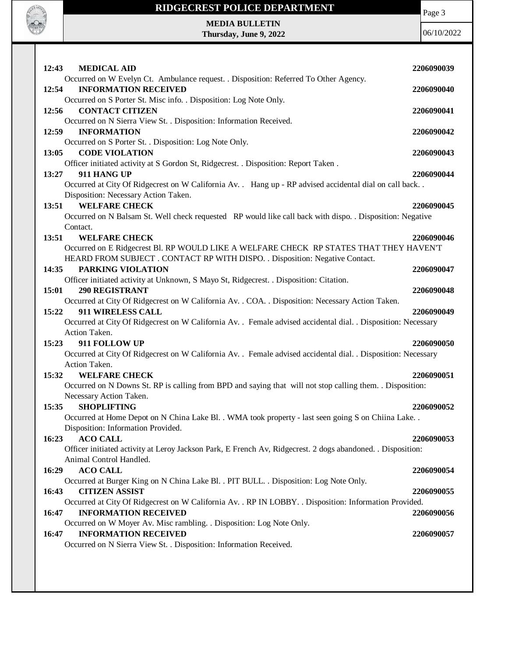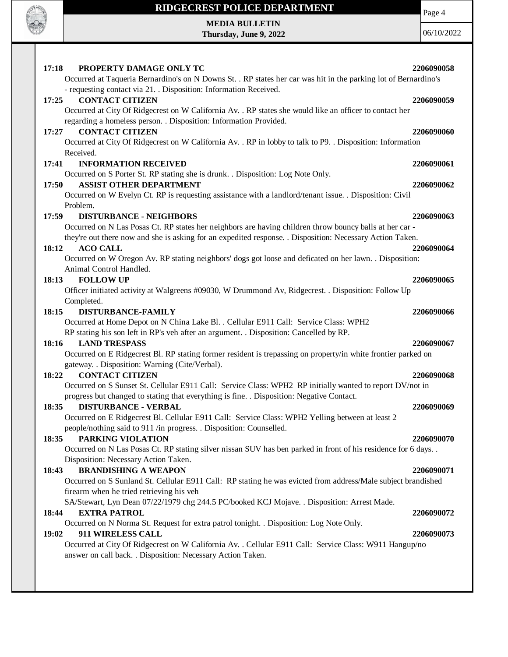

Page 4

**MEDIA BULLETIN Thursday, June 9, 2022**

| 17:18<br>PROPERTY DAMAGE ONLY TC                                                                                | 2206090058 |
|-----------------------------------------------------------------------------------------------------------------|------------|
| Occurred at Taqueria Bernardino's on N Downs St. . RP states her car was hit in the parking lot of Bernardino's |            |
| - requesting contact via 21. . Disposition: Information Received.                                               |            |
| 17:25<br><b>CONTACT CITIZEN</b>                                                                                 | 2206090059 |
| Occurred at City Of Ridgecrest on W California Av. . RP states she would like an officer to contact her         |            |
| regarding a homeless person. . Disposition: Information Provided.                                               |            |
| <b>CONTACT CITIZEN</b><br>17:27                                                                                 | 2206090060 |
| Occurred at City Of Ridgecrest on W California Av. . RP in lobby to talk to P9. . Disposition: Information      |            |
| Received.                                                                                                       |            |
| <b>INFORMATION RECEIVED</b><br>17:41                                                                            | 2206090061 |
| Occurred on S Porter St. RP stating she is drunk. . Disposition: Log Note Only.                                 |            |
| <b>ASSIST OTHER DEPARTMENT</b><br>17:50                                                                         | 2206090062 |
| Occurred on W Evelyn Ct. RP is requesting assistance with a landlord/tenant issue. . Disposition: Civil         |            |
| Problem.                                                                                                        |            |
| 17:59<br><b>DISTURBANCE - NEIGHBORS</b>                                                                         | 2206090063 |
| Occurred on N Las Posas Ct. RP states her neighbors are having children throw bouncy balls at her car -         |            |
| they're out there now and she is asking for an expedited response. . Disposition: Necessary Action Taken.       |            |
| <b>ACO CALL</b><br>18:12                                                                                        | 2206090064 |
| Occurred on W Oregon Av. RP stating neighbors' dogs got loose and deficated on her lawn. . Disposition:         |            |
| Animal Control Handled.                                                                                         |            |
| <b>FOLLOW UP</b><br>18:13                                                                                       | 2206090065 |
| Officer initiated activity at Walgreens #09030, W Drummond Av, Ridgecrest. . Disposition: Follow Up             |            |
| Completed.                                                                                                      |            |
| 18:15<br><b>DISTURBANCE-FAMILY</b>                                                                              | 2206090066 |
| Occurred at Home Depot on N China Lake Bl. . Cellular E911 Call: Service Class: WPH2                            |            |
| RP stating his son left in RP's veh after an argument. . Disposition: Cancelled by RP.                          |            |
| <b>LAND TRESPASS</b><br>18:16                                                                                   | 2206090067 |
| Occurred on E Ridgecrest Bl. RP stating former resident is trepassing on property/in white frontier parked on   |            |
| gateway. . Disposition: Warning (Cite/Verbal).                                                                  |            |
| 18:22<br><b>CONTACT CITIZEN</b>                                                                                 | 2206090068 |
| Occurred on S Sunset St. Cellular E911 Call: Service Class: WPH2 RP initially wanted to report DV/not in        |            |
| progress but changed to stating that everything is fine. . Disposition: Negative Contact.                       |            |
| 18:35<br><b>DISTURBANCE - VERBAL</b>                                                                            | 2206090069 |
| Occurred on E Ridgecrest Bl. Cellular E911 Call: Service Class: WPH2 Yelling between at least 2                 |            |
| people/nothing said to 911 /in progress. . Disposition: Counselled.                                             |            |
| PARKING VIOLATION<br>18:35                                                                                      | 2206090070 |
| Occurred on N Las Posas Ct. RP stating silver nissan SUV has ben parked in front of his residence for 6 days    |            |
| Disposition: Necessary Action Taken.                                                                            |            |
| 18:43<br><b>BRANDISHING A WEAPON</b>                                                                            | 2206090071 |
| Occurred on S Sunland St. Cellular E911 Call: RP stating he was evicted from address/Male subject brandished    |            |
| firearm when he tried retrieving his veh                                                                        |            |
| SA/Stewart, Lyn Dean 07/22/1979 chg 244.5 PC/booked KCJ Mojave. . Disposition: Arrest Made.                     |            |
| 18:44<br><b>EXTRA PATROL</b>                                                                                    | 2206090072 |
| Occurred on N Norma St. Request for extra patrol tonight. . Disposition: Log Note Only.                         |            |
| 19:02<br>911 WIRELESS CALL                                                                                      | 2206090073 |
| Occurred at City Of Ridgecrest on W California Av. . Cellular E911 Call: Service Class: W911 Hangup/no          |            |
| answer on call back. . Disposition: Necessary Action Taken.                                                     |            |
|                                                                                                                 |            |
|                                                                                                                 |            |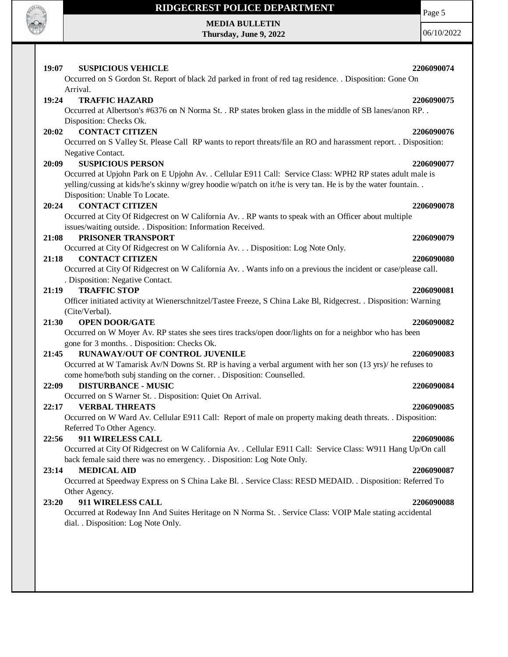

**MEDIA BULLETIN Thursday, June 9, 2022** Page 5 06/10/2022

| 19:07<br><b>SUSPICIOUS VEHICLE</b><br>Occurred on S Gordon St. Report of black 2d parked in front of red tag residence. . Disposition: Gone On | 2206090074 |
|------------------------------------------------------------------------------------------------------------------------------------------------|------------|
| Arrival.                                                                                                                                       |            |
| 19:24<br><b>TRAFFIC HAZARD</b>                                                                                                                 | 2206090075 |
| Occurred at Albertson's #6376 on N Norma St. . RP states broken glass in the middle of SB lanes/anon RP. .                                     |            |
| Disposition: Checks Ok.                                                                                                                        |            |
| <b>CONTACT CITIZEN</b><br>20:02                                                                                                                | 2206090076 |
| Occurred on S Valley St. Please Call RP wants to report threats/file an RO and harassment report. . Disposition:                               |            |
| Negative Contact.                                                                                                                              |            |
| <b>SUSPICIOUS PERSON</b><br>20:09                                                                                                              | 2206090077 |
| Occurred at Upjohn Park on E Upjohn Av. . Cellular E911 Call: Service Class: WPH2 RP states adult male is                                      |            |
| yelling/cussing at kids/he's skinny w/grey hoodie w/patch on it/he is very tan. He is by the water fountain                                    |            |
| Disposition: Unable To Locate.                                                                                                                 |            |
| <b>CONTACT CITIZEN</b><br>20:24                                                                                                                | 2206090078 |
| Occurred at City Of Ridgecrest on W California Av. . RP wants to speak with an Officer about multiple                                          |            |
| issues/waiting outside. . Disposition: Information Received.                                                                                   |            |
| 21:08<br>PRISONER TRANSPORT                                                                                                                    | 2206090079 |
| Occurred at City Of Ridgecrest on W California Av. Disposition: Log Note Only.                                                                 |            |
| <b>CONTACT CITIZEN</b><br>21:18                                                                                                                | 2206090080 |
| Occurred at City Of Ridgecrest on W California Av. . Wants info on a previous the incident or case/please call.                                |            |
| . Disposition: Negative Contact.                                                                                                               |            |
| <b>TRAFFIC STOP</b><br>21:19                                                                                                                   | 2206090081 |
| Officer initiated activity at Wienerschnitzel/Tastee Freeze, S China Lake Bl, Ridgecrest. . Disposition: Warning                               |            |
| (Cite/Verbal).<br><b>OPEN DOOR/GATE</b><br>21:30                                                                                               | 2206090082 |
| Occurred on W Moyer Av. RP states she sees tires tracks/open door/lights on for a neighbor who has been                                        |            |
| gone for 3 months. . Disposition: Checks Ok.                                                                                                   |            |
| 21:45<br>RUNAWAY/OUT OF CONTROL JUVENILE                                                                                                       | 2206090083 |
| Occurred at W Tamarisk Av/N Downs St. RP is having a verbal argument with her son (13 yrs)/ he refuses to                                      |            |
| come home/both subj standing on the corner. . Disposition: Counselled.                                                                         |            |
| 22:09<br><b>DISTURBANCE - MUSIC</b>                                                                                                            | 2206090084 |
| Occurred on S Warner St. . Disposition: Quiet On Arrival.                                                                                      |            |
| 22:17<br><b>VERBAL THREATS</b>                                                                                                                 | 2206090085 |
| Occurred on W Ward Av. Cellular E911 Call: Report of male on property making death threats. . Disposition:                                     |            |
| Referred To Other Agency.                                                                                                                      |            |
| 911 WIRELESS CALL<br>22:56                                                                                                                     | 2206090086 |
| Occurred at City Of Ridgecrest on W California Av. . Cellular E911 Call: Service Class: W911 Hang Up/On call                                   |            |
| back female said there was no emergency. . Disposition: Log Note Only.                                                                         |            |
| <b>MEDICAL AID</b><br>23:14                                                                                                                    | 2206090087 |
| Occurred at Speedway Express on S China Lake Bl. . Service Class: RESD MEDAID. . Disposition: Referred To                                      |            |
| Other Agency.                                                                                                                                  |            |
| 23:20<br>911 WIRELESS CALL                                                                                                                     | 2206090088 |
| Occurred at Rodeway Inn And Suites Heritage on N Norma St. . Service Class: VOIP Male stating accidental                                       |            |
| dial. . Disposition: Log Note Only.                                                                                                            |            |